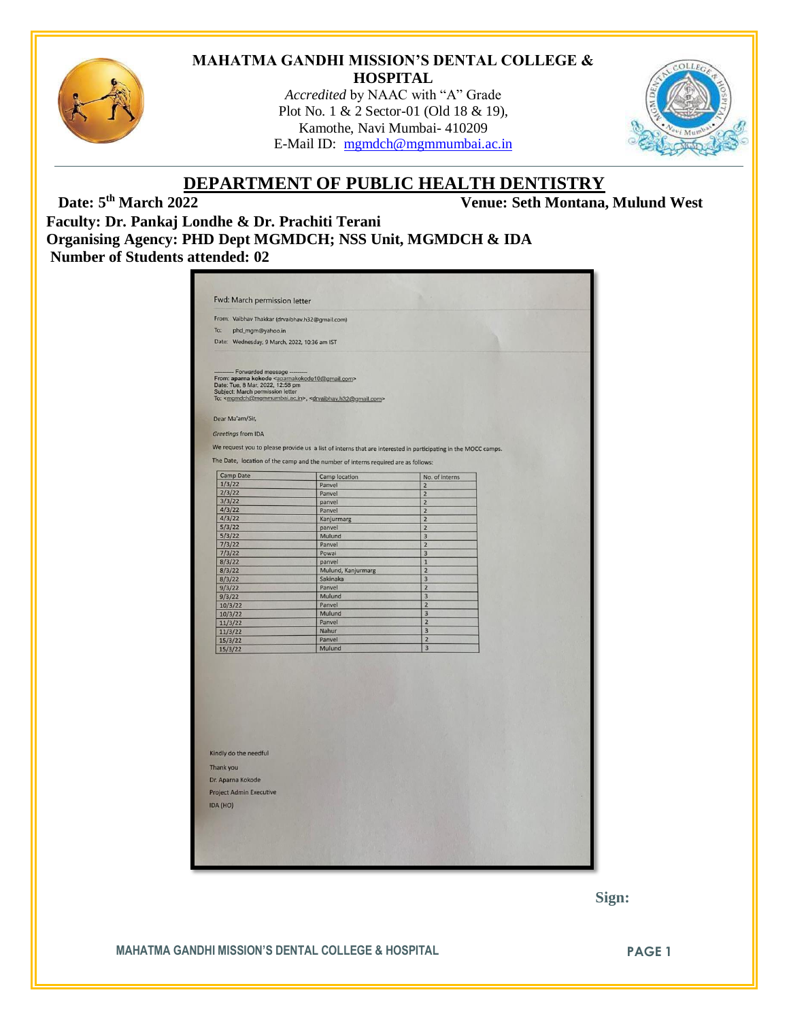

#### **MAHATMA GANDHI MISSION'S DENTAL COLLEGE & HOSPITAL**

*Accredited* by NAAC with "A" Grade Plot No. 1 & 2 Sector-01 (Old 18 & 19), Kamothe, Navi Mumbai- 410209 E-Mail ID: [mgmdch@mgmmumbai.ac.in](mailto:mgmdch@mgmmumbai.ac.in)



# **DEPARTMENT OF PUBLIC HEALTH DENTISTRY**<br>Venue: Seth Montana.

**Date: 5th March 2022 Venue: Seth Montana, Mulund West**

**Faculty: Dr. Pankaj Londhe & Dr. Prachiti Terani Organising Agency: PHD Dept MGMDCH; NSS Unit, MGMDCH & IDA Number of Students attended: 02**

| From: Vaibhav Thakkar (drvaibhav.h32@gmail.com)                           |                                                                                                            |                                                                                                               |  |
|---------------------------------------------------------------------------|------------------------------------------------------------------------------------------------------------|---------------------------------------------------------------------------------------------------------------|--|
| To:<br>phd_mgm@yahoo.in                                                   |                                                                                                            |                                                                                                               |  |
| Date: Wednesday, 9 March, 2022, 10:36 am IST                              |                                                                                                            |                                                                                                               |  |
|                                                                           |                                                                                                            |                                                                                                               |  |
| - Forwarded message                                                       |                                                                                                            |                                                                                                               |  |
| From: aparna kokode <aparnakokode10@gmail.com></aparnakokode10@gmail.com> |                                                                                                            |                                                                                                               |  |
| Date: Tue, 8 Mar, 2022, 12:58 pm<br>Subject: March permission letter      |                                                                                                            |                                                                                                               |  |
|                                                                           | To: <mgmdch@mgmmumbai.ac.in>, <drvaibhav.h32@gmail.com></drvaibhav.h32@gmail.com></mgmdch@mgmmumbai.ac.in> |                                                                                                               |  |
|                                                                           |                                                                                                            |                                                                                                               |  |
| Dear Ma'am/Sir,                                                           |                                                                                                            |                                                                                                               |  |
| <b>Greetings from IDA</b>                                                 |                                                                                                            |                                                                                                               |  |
|                                                                           |                                                                                                            |                                                                                                               |  |
|                                                                           |                                                                                                            | We request you to please provide us a list of interns that are interested in participating in the MOCC camps. |  |
|                                                                           | The Date, location of the camp and the number of interns required are as follows:                          |                                                                                                               |  |
|                                                                           |                                                                                                            |                                                                                                               |  |
| <b>Camp Date</b><br>1/3/22                                                | <b>Camp location</b>                                                                                       | No. of interns                                                                                                |  |
| 2/3/22                                                                    | Panvel<br>Panvel                                                                                           | $\overline{2}$<br>$\overline{c}$                                                                              |  |
| 3/3/22                                                                    | panvel                                                                                                     | $\overline{2}$                                                                                                |  |
| 4/3/22                                                                    | Panvel                                                                                                     | $\overline{2}$                                                                                                |  |
| 4/3/22                                                                    | Kanjurmarg                                                                                                 | $\overline{2}$                                                                                                |  |
| 5/3/22                                                                    | panvel                                                                                                     | $\overline{2}$                                                                                                |  |
| 5/3/22                                                                    | Mulund                                                                                                     | $\overline{\mathbf{3}}$                                                                                       |  |
| 7/3/22                                                                    | Panvel                                                                                                     | $\overline{\mathbf{c}}$                                                                                       |  |
| 7/3/22                                                                    | Powai                                                                                                      | 3                                                                                                             |  |
| 8/3/22                                                                    | panvel                                                                                                     | $\overline{1}$                                                                                                |  |
| 8/3/22                                                                    | Mulund, Kanjurmarg                                                                                         | $\overline{2}$                                                                                                |  |
| 8/3/22                                                                    | Sakinaka<br>Panvel                                                                                         | 3<br>$\overline{2}$                                                                                           |  |
| 9/3/22<br>9/3/22                                                          | Mulund                                                                                                     | 3                                                                                                             |  |
| 10/3/22                                                                   | Panvel                                                                                                     | 2                                                                                                             |  |
| 10/3/22                                                                   | Mulund                                                                                                     | 3                                                                                                             |  |
| 11/3/22                                                                   | Panvel                                                                                                     | $\overline{\mathbf{z}}$                                                                                       |  |
| 11/3/22                                                                   | Nahur                                                                                                      | 3                                                                                                             |  |
| 15/3/22                                                                   | Panvel                                                                                                     | $\overline{2}$                                                                                                |  |
| 15/3/22                                                                   | Mulund                                                                                                     | 3                                                                                                             |  |
|                                                                           |                                                                                                            |                                                                                                               |  |
|                                                                           |                                                                                                            |                                                                                                               |  |
|                                                                           |                                                                                                            |                                                                                                               |  |
|                                                                           |                                                                                                            |                                                                                                               |  |
|                                                                           |                                                                                                            |                                                                                                               |  |
|                                                                           |                                                                                                            |                                                                                                               |  |
|                                                                           |                                                                                                            |                                                                                                               |  |
|                                                                           |                                                                                                            |                                                                                                               |  |
|                                                                           |                                                                                                            |                                                                                                               |  |
| Kindly do the needful                                                     |                                                                                                            |                                                                                                               |  |
|                                                                           |                                                                                                            |                                                                                                               |  |
| Thank you                                                                 |                                                                                                            |                                                                                                               |  |
| Dr. Aparna Kokode                                                         |                                                                                                            |                                                                                                               |  |
|                                                                           |                                                                                                            |                                                                                                               |  |
|                                                                           |                                                                                                            |                                                                                                               |  |
|                                                                           |                                                                                                            |                                                                                                               |  |
|                                                                           |                                                                                                            |                                                                                                               |  |
|                                                                           |                                                                                                            |                                                                                                               |  |
| <b>Project Admin Executive</b><br>IDA (HO)                                |                                                                                                            |                                                                                                               |  |

 **Sign:**

**MAHATMA GANDHI MISSION'S DENTAL COLLEGE & HOSPITAL PAGE 1**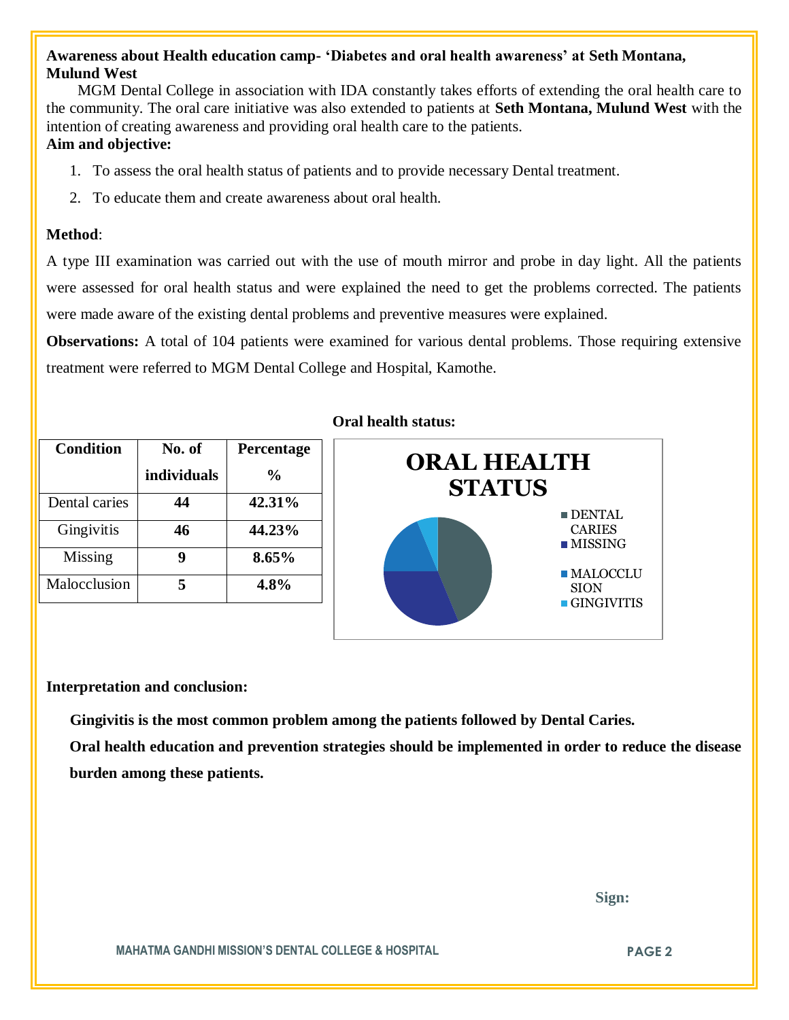### **Awareness about Health education camp- 'Diabetes and oral health awareness' at Seth Montana, Mulund West**

 MGM Dental College in association with IDA constantly takes efforts of extending the oral health care to the community. The oral care initiative was also extended to patients at **Seth Montana, Mulund West** with the intention of creating awareness and providing oral health care to the patients.

## **Aim and objective:**

- 1. To assess the oral health status of patients and to provide necessary Dental treatment.
- 2. To educate them and create awareness about oral health.

#### **Method**:

A type III examination was carried out with the use of mouth mirror and probe in day light. All the patients were assessed for oral health status and were explained the need to get the problems corrected. The patients were made aware of the existing dental problems and preventive measures were explained.

**Observations:** A total of 104 patients were examined for various dental problems. Those requiring extensive treatment were referred to MGM Dental College and Hospital, Kamothe.

| <b>Condition</b> | No. of      | Percentage     |
|------------------|-------------|----------------|
|                  | individuals | $\frac{6}{10}$ |
| Dental caries    | 44          | 42.31%         |
| Gingivitis       | 46          | 44.23%         |
| Missing          |             | 8.65%          |
| Malocclusion     | 5           | 4.8%           |

#### **Oral health status:**



#### **Interpretation and conclusion:**

 **Gingivitis is the most common problem among the patients followed by Dental Caries.**

**Oral health education and prevention strategies should be implemented in order to reduce the disease burden among these patients.**

 **Sign:**

**MAHATMA GANDHI MISSION'S DENTAL COLLEGE & HOSPITAL PAGE 2**